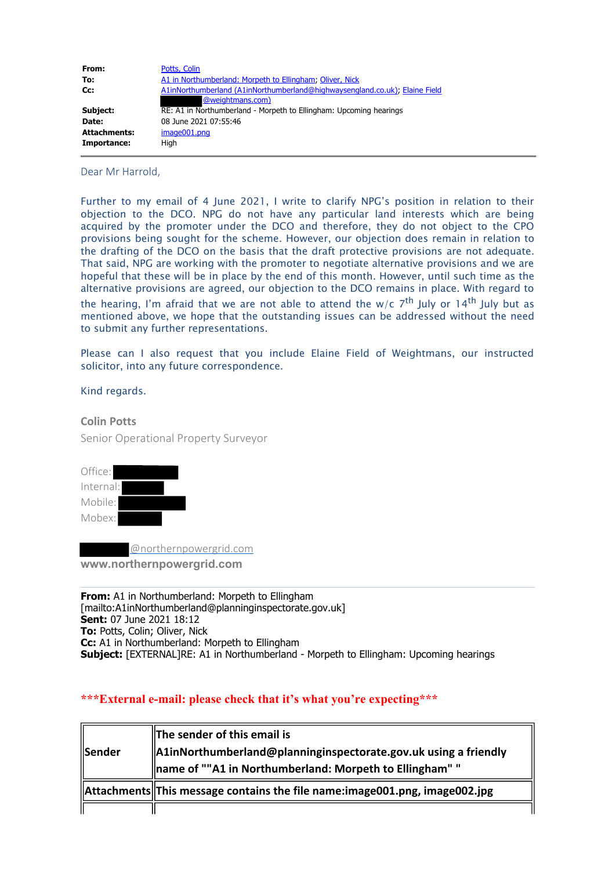| From:               | Potts, Colin                                                                                    |
|---------------------|-------------------------------------------------------------------------------------------------|
| To:                 | A1 in Northumberland: Morpeth to Ellingham; Oliver, Nick                                        |
| Cc:                 | A1inNorthumberland (A1inNorthumberland@highwaysengland.co.uk), Elaine Field<br>@weightmans.com) |
| Subject:            | RE: A1 in Northumberland - Morpeth to Ellingham: Upcoming hearings                              |
| Date:               | 08 June 2021 07:55:46                                                                           |
| <b>Attachments:</b> | image001.png                                                                                    |
| Importance:         | High                                                                                            |

Dear Mr Harrold,

Further to my email of 4 June 2021, I write to clarify NPG's position in relation to their objection to the DCO. NPG do not have any particular land interests which are being acquired by the promoter under the DCO and therefore, they do not object to the CPO provisions being sought for the scheme. However, our objection does remain in relation to the drafting of the DCO on the basis that the draft protective provisions are not adequate. That said, NPG are working with the promoter to negotiate alternative provisions and we are hopeful that these will be in place by the end of this month. However, until such time as the alternative provisions are agreed, our objection to the DCO remains in place. With regard to the hearing, I'm afraid that we are not able to attend the w/c  $7<sup>th</sup>$  July or 14<sup>th</sup> July but as mentioned above, we hope that the outstanding issues can be addressed without the need to submit any further representations.

Please can I also request that you include Elaine Field of Weightmans, our instructed solicitor, into any future correspondence.

Kind regards.

**Colin Potts** Senior Operational Property Surveyor

Office: Internal: Mobile: Mobex:

@northernpowergrid.com

**www.northernpowergrid.com**

**From:** A1 in Northumberland: Morpeth to Ellingham [mailto:A1inNorthumberland@planninginspectorate.gov.uk] **Sent:** 07 June 2021 18:12 **To:** Potts, Colin; Oliver, Nick **Cc:** A1 in Northumberland: Morpeth to Ellingham **Subject:** [EXTERNAL]RE: A1 in Northumberland - Morpeth to Ellingham: Upcoming hearings

### **\*\*\*External e-mail: please check that it's what you're expecting\*\*\***

|        | $\parallel$ The sender of this email is                                       |
|--------|-------------------------------------------------------------------------------|
| Sender | A1inNorthumberland@planninginspectorate.gov.uk using a friendly               |
|        | " name of ""A1 in Northumberland: Morpeth to Ellingham"                       |
|        | Attachments This message contains the file name: image 001.png, image 002.jpg |
|        |                                                                               |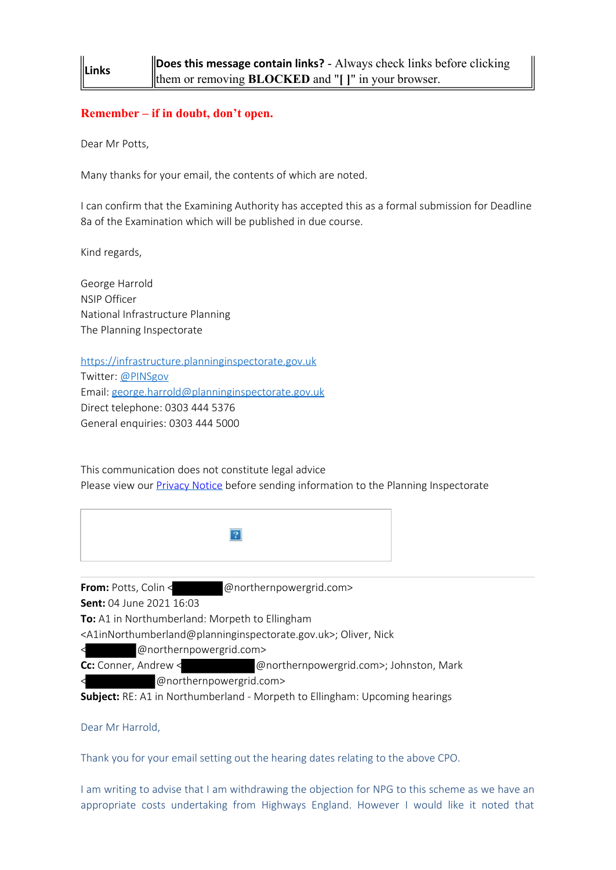## **Remember – if in doubt, don't open.**

Dear Mr Potts,

Many thanks for your email, the contents of which are noted.

I can confirm that the Examining Authority has accepted this as a formal submission for Deadline 8a of the Examination which will be published in due course.

Kind regards,

George Harrold NSIP Officer National Infrastructure Planning The Planning Inspectorate

https://infrastructure.planninginspectorate.gov.uk Twitter: @PINSgov Email: george.harrold@planninginspectorate.gov.uk Direct telephone: 0303 444 5376 General enquiries: 0303 444 5000

This communication does not constitute legal advice Please view our **Privacy Notice** before sending information to the Planning Inspectorate



**From:** Potts, Colin < @northernpowergrid.com>

**Sent:** 04 June 2021 16:03

**To:** A1 in Northumberland: Morpeth to Ellingham

<A1inNorthumberland@planninginspectorate.gov.uk>; Oliver, Nick

< @northernpowergrid.com>

**Cc:** Conner, Andrew < @northernpowergrid.com>; Johnston, Mark < @northernpowergrid.com>

**Subject:** RE: A1 in Northumberland - Morpeth to Ellingham: Upcoming hearings

Dear Mr Harrold,

Thank you for your email setting out the hearing dates relating to the above CPO.

I am writing to advise that I am withdrawing the objection for NPG to this scheme as we have an appropriate costs undertaking from Highways England. However I would like it noted that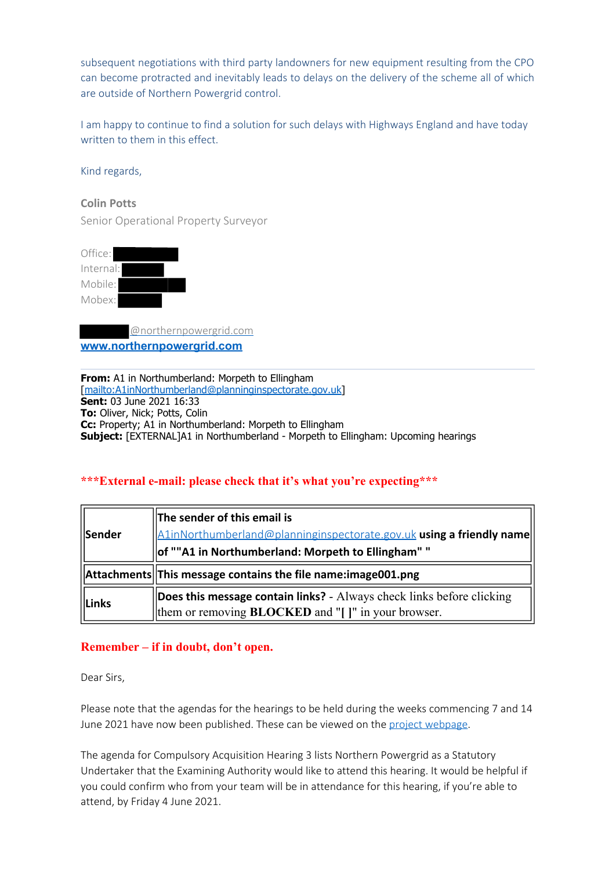subsequent negotiations with third party landowners for new equipment resulting from the CPO can become protracted and inevitably leads to delays on the delivery of the scheme all of which are outside of Northern Powergrid control.

I am happy to continue to find a solution for such delays with Highways England and have today written to them in this effect.

Kind regards,

#### **Colin Potts**

Senior Operational Property Surveyor



@northernpowergrid.com **www.northernpowergrid.com**

**From:** A1 in Northumberland: Morpeth to Ellingham [mailto:A1inNorthumberland@planninginspectorate.gov.uk] **Sent:** 03 June 2021 16:33 **To:** Oliver, Nick; Potts, Colin **Cc:** Property; A1 in Northumberland: Morpeth to Ellingham **Subject:** [EXTERNAL]A1 in Northumberland - Morpeth to Ellingham: Upcoming hearings

## **\*\*\*External e-mail: please check that it's what you're expecting\*\*\***

| <b>Sender</b> | <b>The sender of this email is</b>                                           |
|---------------|------------------------------------------------------------------------------|
|               | A1inNorthumberland@planninginspectorate.gov.uk using a friendly name         |
|               | of ""A1 in Northumberland: Morpeth to Ellingham" "                           |
|               | Attachments  This message contains the file name:image001.png                |
| Links         | <b>Does this message contain links?</b> - Always check links before clicking |
|               | them or removing <b>BLOCKED</b> and "[]" in your browser.                    |

## **Remember – if in doubt, don't open.**

Dear Sirs,

Please note that the agendas for the hearings to be held during the weeks commencing 7 and 14 June 2021 have now been published. These can be viewed on the project webpage.

The agenda for Compulsory Acquisition Hearing 3 lists Northern Powergrid as a Statutory Undertaker that the Examining Authority would like to attend this hearing. It would be helpful if you could confirm who from your team will be in attendance for this hearing, if you're able to attend, by Friday 4 June 2021.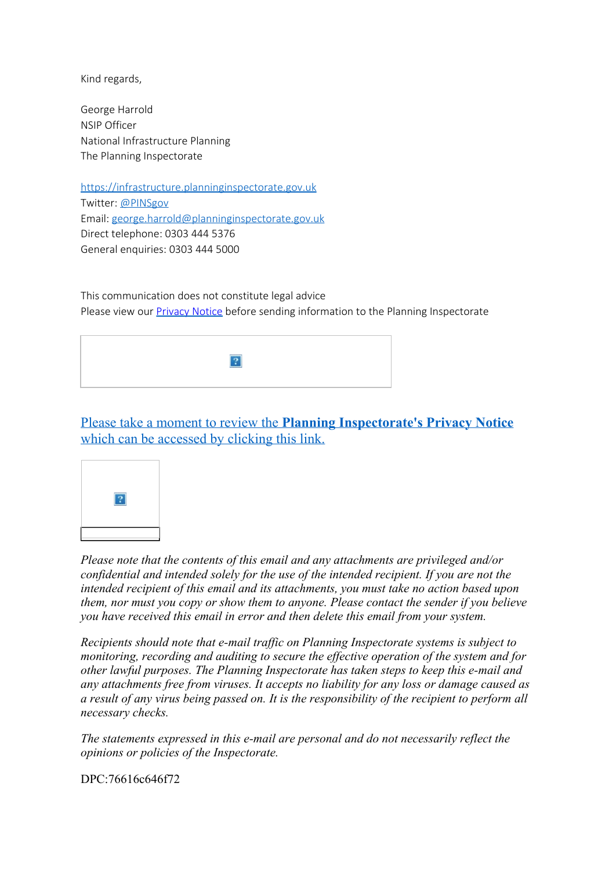Kind regards,

George Harrold NSIP Officer National Infrastructure Planning The Planning Inspectorate

https://infrastructure.planninginspectorate.gov.uk Twitter: @PINSgov Email: george.harrold@planninginspectorate.gov.uk Direct telephone: 0303 444 5376 General enquiries: 0303 444 5000

This communication does not constitute legal advice Please view our **Privacy Notice** before sending information to the Planning Inspectorate



Please take a moment to review the **Planning Inspectorate's Privacy Notice** which can be accessed by clicking this link.



*Please note that the contents of this email and any attachments are privileged and/or confidential and intended solely for the use of the intended recipient. If you are not the intended recipient of this email and its attachments, you must take no action based upon them, nor must you copy or show them to anyone. Please contact the sender if you believe you have received this email in error and then delete this email from your system.*

*Recipients should note that e-mail traffic on Planning Inspectorate systems is subject to monitoring, recording and auditing to secure the effective operation of the system and for other lawful purposes. The Planning Inspectorate has taken steps to keep this e-mail and any attachments free from viruses. It accepts no liability for any loss or damage caused as a result of any virus being passed on. It is the responsibility of the recipient to perform all necessary checks.*

*The statements expressed in this e-mail are personal and do not necessarily reflect the opinions or policies of the Inspectorate.*

DPC:76616c646f72